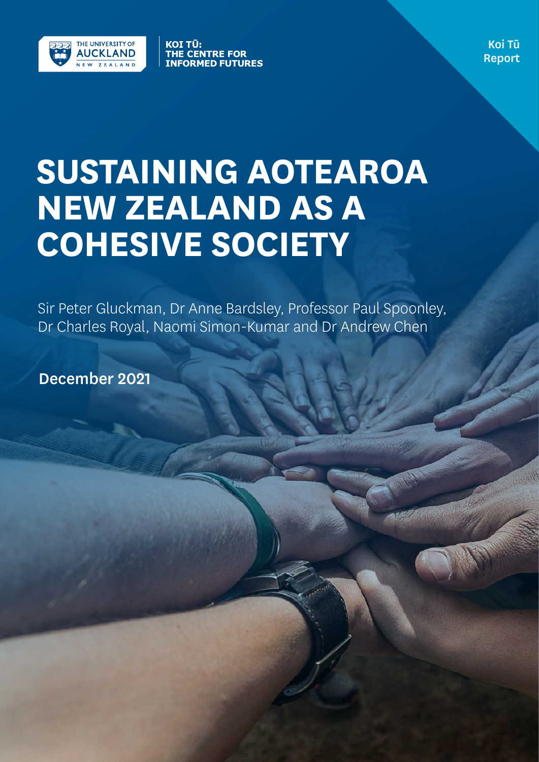

KOI TŪ: THE CENTRE FOR<br>INFORMED FUTURES

Koi Tū Report

# **SUSTAINING AOTEAROA NEW ZEALAND AS A COHESIVE SOCIETY**

Sir Peter Gluckman, Dr Anne Bardsley, Professor Paul Spoonley, Dr Charles Royal, Naomi Simon-Kumar and Dr Andrew Chen

December 2021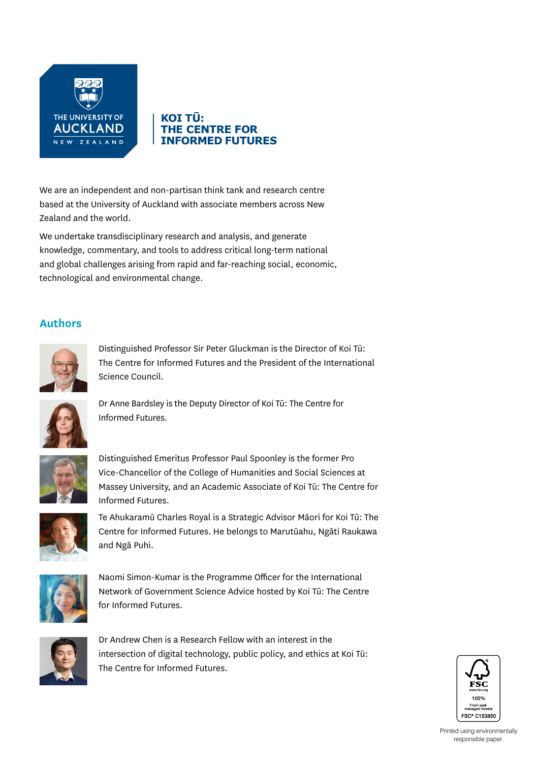

#### KOI TŪ: **THE CENTRE FOR INFORMED FUTURES**

We are an independent and non-partisan think tank and research centre based at the University of Auckland with associate members across New Zealand and the world.

We undertake transdisciplinary research and analysis, and generate knowledge, commentary, and tools to address critical long-term national and global challenges arising from rapid and far-reaching social, economic, technological and environmental change.

#### **Authors**



Distinguished Professor Sir Peter Gluckman is the Director of Koi Tū: The Centre for Informed Futures and the President of the International Science Council.



Dr Anne Bardsley is the Deputy Director of Koi Tū: The Centre for Informed Futures.



Distinguished Emeritus Professor Paul Spoonley is the former Pro Vice-Chancellor of the College of Humanities and Social Sciences at Massey University, and an Academic Associate of Koi Tū: The Centre for Informed Futures.



Te Ahukaramū Charles Royal is a Strategic Advisor Māori for Koi Tū: The Centre for Informed Futures. He belongs to Marutūahu, Ngāti Raukawa and Ngā Puhi.



Naomi Simon-Kumar is the Programme Officer for the International Network of Government Science Advice hosted by Koi Tū: The Centre for Informed Futures.



Dr Andrew Chen is a Research Fellow with an interest in the intersection of digital technology, public policy, and ethics at Koi Tū: The Centre for Informed Futures.

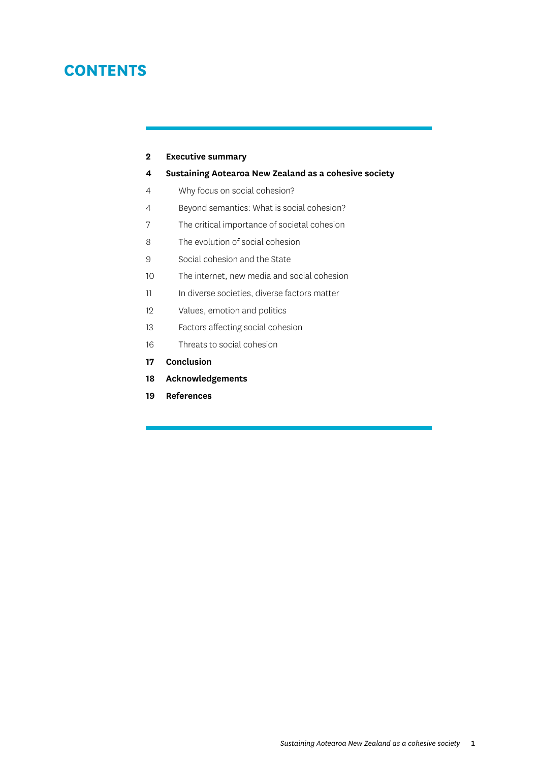# **CONTENTS**

#### **2 [Executive summary](#page-3-0)**

- **4 [Sustaining Aotearoa New Zealand as a cohesive society](#page-5-0)**
- [4 Why focus on social cohesion?](#page-5-0)
- [4 Beyond semantics: What is social cohesion?](#page-5-0)
- [7 The critical importance of societal cohesion](#page-8-0)
- [8 The evolution of social cohesion](#page-9-0)
- [9 Social cohesion and the State](#page-10-0)
- [10 The internet, new media and social cohesion](#page-11-0)
- [11 In diverse societies, diverse factors matter](#page-12-0)
- [12 Values, emotion and politics](#page-13-0)
- [13 Factors affecting social cohesion](#page-14-0)
- [16 Threats to social cohesion](#page-17-0)
- **17 [Conclusion](#page-18-0)**
- **18 [Acknowledgements](#page-19-0)**
- **19 [References](#page-20-0)**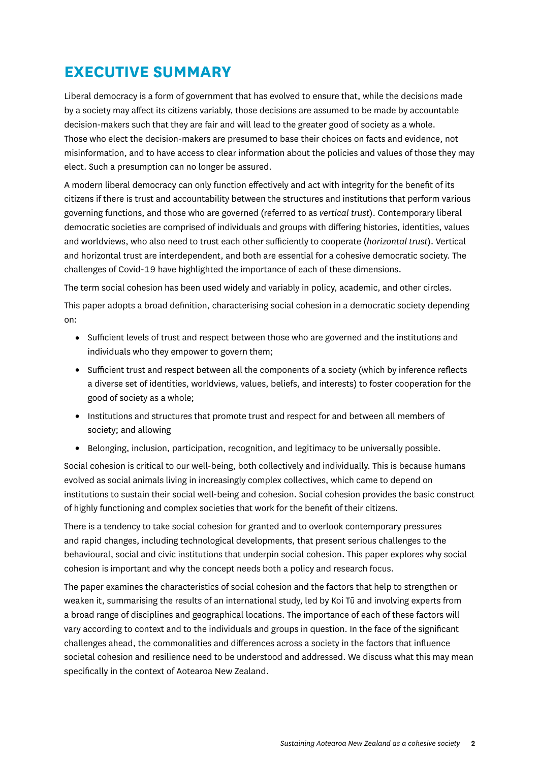# <span id="page-3-0"></span>**EXECUTIVE SUMMARY**

Liberal democracy is a form of government that has evolved to ensure that, while the decisions made by a society may affect its citizens variably, those decisions are assumed to be made by accountable decision-makers such that they are fair and will lead to the greater good of society as a whole. Those who elect the decision-makers are presumed to base their choices on facts and evidence, not misinformation, and to have access to clear information about the policies and values of those they may elect. Such a presumption can no longer be assured.

A modern liberal democracy can only function effectively and act with integrity for the benefit of its citizens if there is trust and accountability between the structures and institutions that perform various governing functions, and those who are governed (referred to as *vertical trust*). Contemporary liberal democratic societies are comprised of individuals and groups with differing histories, identities, values and worldviews, who also need to trust each other sufficiently to cooperate (*horizontal trust*). Vertical and horizontal trust are interdependent, and both are essential for a cohesive democratic society. The challenges of Covid-19 have highlighted the importance of each of these dimensions.

The term social cohesion has been used widely and variably in policy, academic, and other circles.

This paper adopts a broad definition, characterising social cohesion in a democratic society depending on:

- Sufficient levels of trust and respect between those who are governed and the institutions and individuals who they empower to govern them;
- Sufficient trust and respect between all the components of a society (which by inference reflects a diverse set of identities, worldviews, values, beliefs, and interests) to foster cooperation for the good of society as a whole;
- Institutions and structures that promote trust and respect for and between all members of society; and allowing
- Belonging, inclusion, participation, recognition, and legitimacy to be universally possible.

Social cohesion is critical to our well-being, both collectively and individually. This is because humans evolved as social animals living in increasingly complex collectives, which came to depend on institutions to sustain their social well-being and cohesion. Social cohesion provides the basic construct of highly functioning and complex societies that work for the benefit of their citizens.

There is a tendency to take social cohesion for granted and to overlook contemporary pressures and rapid changes, including technological developments, that present serious challenges to the behavioural, social and civic institutions that underpin social cohesion. This paper explores why social cohesion is important and why the concept needs both a policy and research focus.

The paper examines the characteristics of social cohesion and the factors that help to strengthen or weaken it, summarising the results of an international study, led by Koi Tū and involving experts from a broad range of disciplines and geographical locations. The importance of each of these factors will vary according to context and to the individuals and groups in question. In the face of the significant challenges ahead, the commonalities and differences across a society in the factors that influence societal cohesion and resilience need to be understood and addressed. We discuss what this may mean specifically in the context of Aotearoa New Zealand.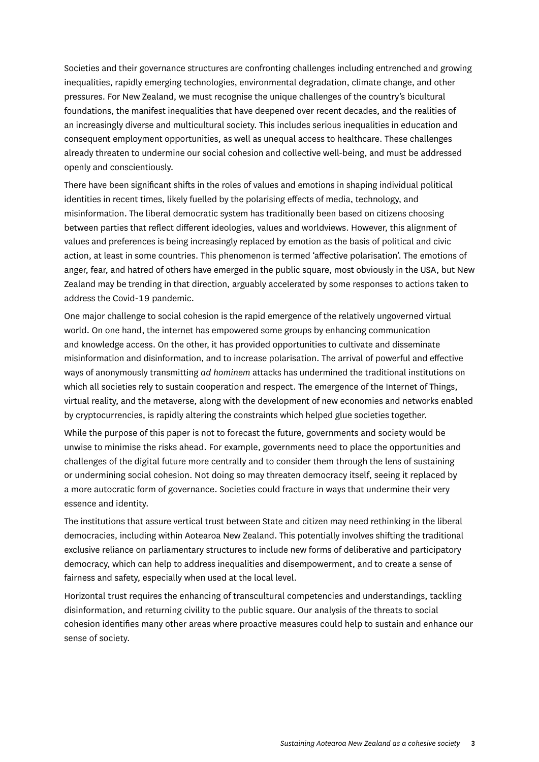Societies and their governance structures are confronting challenges including entrenched and growing inequalities, rapidly emerging technologies, environmental degradation, climate change, and other pressures. For New Zealand, we must recognise the unique challenges of the country's bicultural foundations, the manifest inequalities that have deepened over recent decades, and the realities of an increasingly diverse and multicultural society. This includes serious inequalities in education and consequent employment opportunities, as well as unequal access to healthcare. These challenges already threaten to undermine our social cohesion and collective well-being, and must be addressed openly and conscientiously.

There have been significant shifts in the roles of values and emotions in shaping individual political identities in recent times, likely fuelled by the polarising effects of media, technology, and misinformation. The liberal democratic system has traditionally been based on citizens choosing between parties that reflect different ideologies, values and worldviews. However, this alignment of values and preferences is being increasingly replaced by emotion as the basis of political and civic action, at least in some countries. This phenomenon is termed 'affective polarisation'. The emotions of anger, fear, and hatred of others have emerged in the public square, most obviously in the USA, but New Zealand may be trending in that direction, arguably accelerated by some responses to actions taken to address the Covid-19 pandemic.

One major challenge to social cohesion is the rapid emergence of the relatively ungoverned virtual world. On one hand, the internet has empowered some groups by enhancing communication and knowledge access. On the other, it has provided opportunities to cultivate and disseminate misinformation and disinformation, and to increase polarisation. The arrival of powerful and effective ways of anonymously transmitting *ad hominem* attacks has undermined the traditional institutions on which all societies rely to sustain cooperation and respect. The emergence of the Internet of Things, virtual reality, and the metaverse, along with the development of new economies and networks enabled by cryptocurrencies, is rapidly altering the constraints which helped glue societies together.

While the purpose of this paper is not to forecast the future, governments and society would be unwise to minimise the risks ahead. For example, governments need to place the opportunities and challenges of the digital future more centrally and to consider them through the lens of sustaining or undermining social cohesion. Not doing so may threaten democracy itself, seeing it replaced by a more autocratic form of governance. Societies could fracture in ways that undermine their very essence and identity.

The institutions that assure vertical trust between State and citizen may need rethinking in the liberal democracies, including within Aotearoa New Zealand. This potentially involves shifting the traditional exclusive reliance on parliamentary structures to include new forms of deliberative and participatory democracy, which can help to address inequalities and disempowerment, and to create a sense of fairness and safety, especially when used at the local level.

Horizontal trust requires the enhancing of transcultural competencies and understandings, tackling disinformation, and returning civility to the public square. Our analysis of the threats to social cohesion identifies many other areas where proactive measures could help to sustain and enhance our sense of society.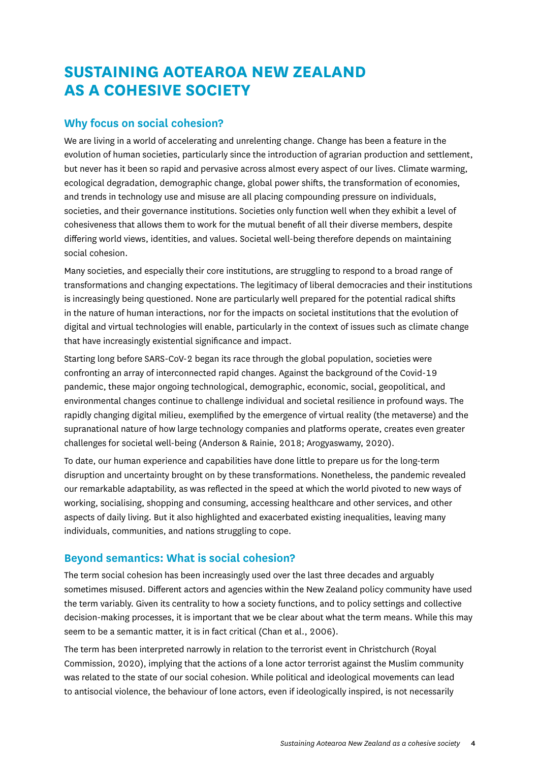# <span id="page-5-0"></span>**SUSTAINING AOTEAROA NEW ZEALAND AS A COHESIVE SOCIETY**

## **Why focus on social cohesion?**

We are living in a world of accelerating and unrelenting change. Change has been a feature in the evolution of human societies, particularly since the introduction of agrarian production and settlement, but never has it been so rapid and pervasive across almost every aspect of our lives. Climate warming, ecological degradation, demographic change, global power shifts, the transformation of economies, and trends in technology use and misuse are all placing compounding pressure on individuals, societies, and their governance institutions. Societies only function well when they exhibit a level of cohesiveness that allows them to work for the mutual benefit of all their diverse members, despite differing world views, identities, and values. Societal well-being therefore depends on maintaining social cohesion.

Many societies, and especially their core institutions, are struggling to respond to a broad range of transformations and changing expectations. The legitimacy of liberal democracies and their institutions is increasingly being questioned. None are particularly well prepared for the potential radical shifts in the nature of human interactions, nor for the impacts on societal institutions that the evolution of digital and virtual technologies will enable, particularly in the context of issues such as climate change that have increasingly existential significance and impact.

Starting long before SARS-CoV-2 began its race through the global population, societies were confronting an array of interconnected rapid changes. Against the background of the Covid-19 pandemic, these major ongoing technological, demographic, economic, social, geopolitical, and environmental changes continue to challenge individual and societal resilience in profound ways. The rapidly changing digital milieu, exemplified by the emergence of virtual reality (the metaverse) and the supranational nature of how large technology companies and platforms operate, creates even greater challenges for societal well-being (Anderson & Rainie, 2018; Arogyaswamy, 2020).

To date, our human experience and capabilities have done little to prepare us for the long-term disruption and uncertainty brought on by these transformations. Nonetheless, the pandemic revealed our remarkable adaptability, as was reflected in the speed at which the world pivoted to new ways of working, socialising, shopping and consuming, accessing healthcare and other services, and other aspects of daily living. But it also highlighted and exacerbated existing inequalities, leaving many individuals, communities, and nations struggling to cope.

## **Beyond semantics: What is social cohesion?**

The term social cohesion has been increasingly used over the last three decades and arguably sometimes misused. Different actors and agencies within the New Zealand policy community have used the term variably. Given its centrality to how a society functions, and to policy settings and collective decision-making processes, it is important that we be clear about what the term means. While this may seem to be a semantic matter, it is in fact critical (Chan et al., 2006).

The term has been interpreted narrowly in relation to the terrorist event in Christchurch (Royal Commission, 2020), implying that the actions of a lone actor terrorist against the Muslim community was related to the state of our social cohesion. While political and ideological movements can lead to antisocial violence, the behaviour of lone actors, even if ideologically inspired, is not necessarily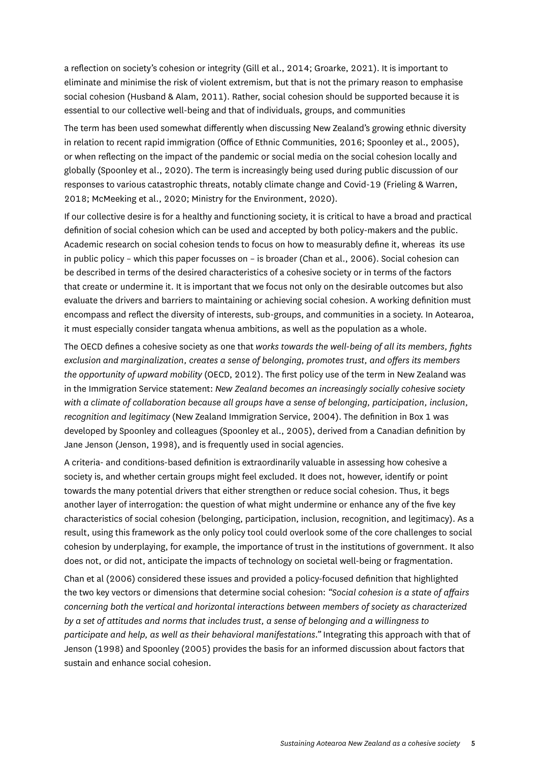a reflection on society's cohesion or integrity (Gill et al., 2014; Groarke, 2021). It is important to eliminate and minimise the risk of violent extremism, but that is not the primary reason to emphasise social cohesion (Husband & Alam, 2011). Rather, social cohesion should be supported because it is essential to our collective well-being and that of individuals, groups, and communities

The term has been used somewhat differently when discussing New Zealand's growing ethnic diversity in relation to recent rapid immigration (Office of Ethnic Communities, 2016; Spoonley et al., 2005), or when reflecting on the impact of the pandemic or social media on the social cohesion locally and globally (Spoonley et al., 2020). The term is increasingly being used during public discussion of our responses to various catastrophic threats, notably climate change and Covid-19 (Frieling & Warren, 2018; McMeeking et al., 2020; Ministry for the Environment, 2020).

If our collective desire is for a healthy and functioning society, it is critical to have a broad and practical definition of social cohesion which can be used and accepted by both policy-makers and the public. Academic research on social cohesion tends to focus on how to measurably define it, whereas its use in public policy – which this paper focusses on – is broader (Chan et al., 2006). Social cohesion can be described in terms of the desired characteristics of a cohesive society or in terms of the factors that create or undermine it. It is important that we focus not only on the desirable outcomes but also evaluate the drivers and barriers to maintaining or achieving social cohesion. A working definition must encompass and reflect the diversity of interests, sub-groups, and communities in a society. In Aotearoa, it must especially consider tangata whenua ambitions, as well as the population as a whole.

The OECD defines a cohesive society as one that *works towards the well-being of all its members, fights exclusion and marginalization, creates a sense of belonging, promotes trust, and offers its members the opportunity of upward mobility* (OECD, 2012). The first policy use of the term in New Zealand was in the Immigration Service statement: *New Zealand becomes an increasingly socially cohesive society with a climate of collaboration because all groups have a sense of belonging, participation, inclusion, recognition and legitimacy* (New Zealand Immigration Service, 2004). The definition in Box 1 was developed by Spoonley and colleagues (Spoonley et al., 2005), derived from a Canadian definition by Jane Jenson (Jenson, 1998), and is frequently used in social agencies.

A criteria- and conditions-based definition is extraordinarily valuable in assessing how cohesive a society is, and whether certain groups might feel excluded. It does not, however, identify or point towards the many potential drivers that either strengthen or reduce social cohesion. Thus, it begs another layer of interrogation: the question of what might undermine or enhance any of the five key characteristics of social cohesion (belonging, participation, inclusion, recognition, and legitimacy). As a result, using this framework as the only policy tool could overlook some of the core challenges to social cohesion by underplaying, for example, the importance of trust in the institutions of government. It also does not, or did not, anticipate the impacts of technology on societal well-being or fragmentation.

Chan et al (2006) considered these issues and provided a policy-focused definition that highlighted the two key vectors or dimensions that determine social cohesion: *"Social cohesion is a state of affairs concerning both the vertical and horizontal interactions between members of society as characterized by a set of attitudes and norms that includes trust, a sense of belonging and a willingness to participate and help, as well as their behavioral manifestations."* Integrating this approach with that of Jenson (1998) and Spoonley (2005) provides the basis for an informed discussion about factors that sustain and enhance social cohesion.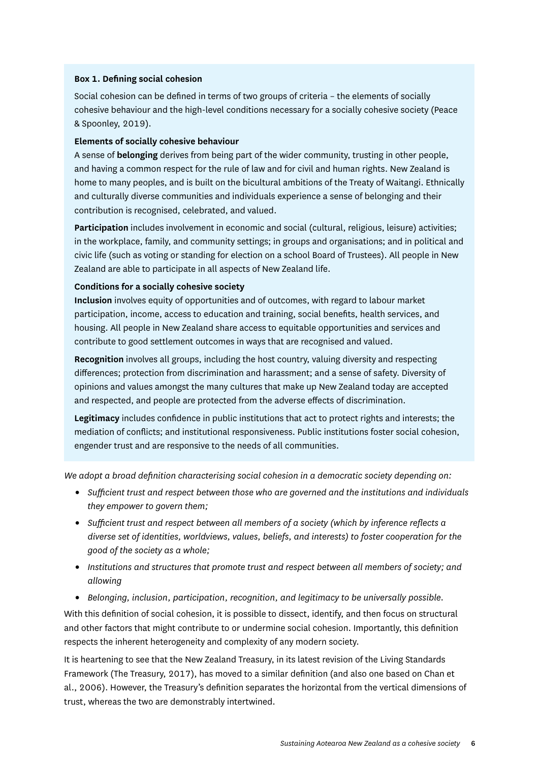#### **Box 1. Defining social cohesion**

Social cohesion can be defined in terms of two groups of criteria – the elements of socially cohesive behaviour and the high-level conditions necessary for a socially cohesive society (Peace & Spoonley, 2019).

#### **Elements of socially cohesive behaviour**

A sense of **belonging** derives from being part of the wider community, trusting in other people, and having a common respect for the rule of law and for civil and human rights. New Zealand is home to many peoples, and is built on the bicultural ambitions of the Treaty of Waitangi. Ethnically and culturally diverse communities and individuals experience a sense of belonging and their contribution is recognised, celebrated, and valued.

**Participation** includes involvement in economic and social (cultural, religious, leisure) activities; in the workplace, family, and community settings; in groups and organisations; and in political and civic life (such as voting or standing for election on a school Board of Trustees). All people in New Zealand are able to participate in all aspects of New Zealand life.

#### **Conditions for a socially cohesive society**

**Inclusion** involves equity of opportunities and of outcomes, with regard to labour market participation, income, access to education and training, social benefits, health services, and housing. All people in New Zealand share access to equitable opportunities and services and contribute to good settlement outcomes in ways that are recognised and valued.

**Recognition** involves all groups, including the host country, valuing diversity and respecting differences; protection from discrimination and harassment; and a sense of safety. Diversity of opinions and values amongst the many cultures that make up New Zealand today are accepted and respected, and people are protected from the adverse effects of discrimination.

**Legitimacy** includes confidence in public institutions that act to protect rights and interests; the mediation of conflicts; and institutional responsiveness. Public institutions foster social cohesion, engender trust and are responsive to the needs of all communities.

*We adopt a broad definition characterising social cohesion in a democratic society depending on:* 

- *Sufficient trust and respect between those who are governed and the institutions and individuals they empower to govern them;*
- *Sufficient trust and respect between all members of a society (which by inference reflects a diverse set of identities, worldviews, values, beliefs, and interests) to foster cooperation for the good of the society as a whole;*
- *Institutions and structures that promote trust and respect between all members of society; and allowing*
- *Belonging, inclusion, participation, recognition, and legitimacy to be universally possible.*

With this definition of social cohesion, it is possible to dissect, identify, and then focus on structural and other factors that might contribute to or undermine social cohesion. Importantly, this definition respects the inherent heterogeneity and complexity of any modern society.

It is heartening to see that the New Zealand Treasury, in its latest revision of the Living Standards Framework (The Treasury, 2017), has moved to a similar definition (and also one based on Chan et al., 2006). However, the Treasury's definition separates the horizontal from the vertical dimensions of trust, whereas the two are demonstrably intertwined.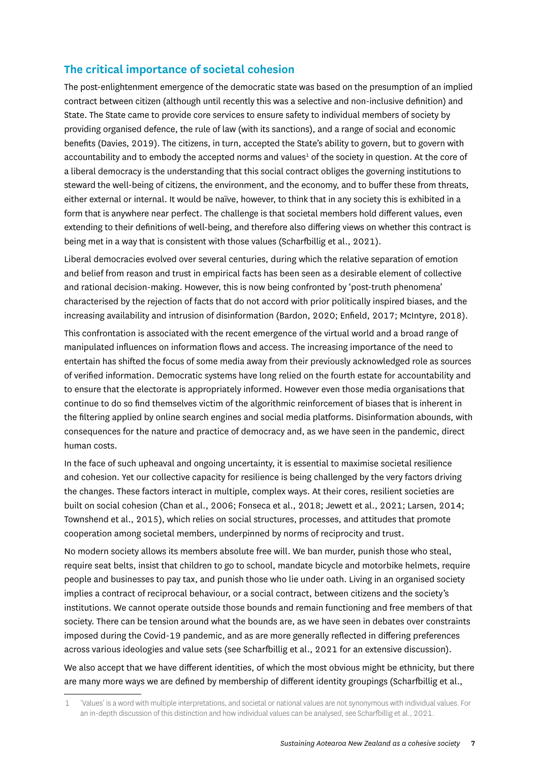## <span id="page-8-0"></span>**The critical importance of societal cohesion**

The post-enlightenment emergence of the democratic state was based on the presumption of an implied contract between citizen (although until recently this was a selective and non-inclusive definition) and State. The State came to provide core services to ensure safety to individual members of society by providing organised defence, the rule of law (with its sanctions), and a range of social and economic benefits (Davies, 2019). The citizens, in turn, accepted the State's ability to govern, but to govern with accountability and to embody the accepted norms and values<sup>1</sup> of the society in question. At the core of a liberal democracy is the understanding that this social contract obliges the governing institutions to steward the well-being of citizens, the environment, and the economy, and to buffer these from threats, either external or internal. It would be naïve, however, to think that in any society this is exhibited in a form that is anywhere near perfect. The challenge is that societal members hold different values, even extending to their definitions of well-being, and therefore also differing views on whether this contract is being met in a way that is consistent with those values (Scharfbillig et al., 2021).

Liberal democracies evolved over several centuries, during which the relative separation of emotion and belief from reason and trust in empirical facts has been seen as a desirable element of collective and rational decision-making. However, this is now being confronted by 'post-truth phenomena' characterised by the rejection of facts that do not accord with prior politically inspired biases, and the increasing availability and intrusion of disinformation (Bardon, 2020; Enfield, 2017; McIntyre, 2018).

This confrontation is associated with the recent emergence of the virtual world and a broad range of manipulated influences on information flows and access. The increasing importance of the need to entertain has shifted the focus of some media away from their previously acknowledged role as sources of verified information. Democratic systems have long relied on the fourth estate for accountability and to ensure that the electorate is appropriately informed. However even those media organisations that continue to do so find themselves victim of the algorithmic reinforcement of biases that is inherent in the filtering applied by online search engines and social media platforms. Disinformation abounds, with consequences for the nature and practice of democracy and, as we have seen in the pandemic, direct human costs.

In the face of such upheaval and ongoing uncertainty, it is essential to maximise societal resilience and cohesion. Yet our collective capacity for resilience is being challenged by the very factors driving the changes. These factors interact in multiple, complex ways. At their cores, resilient societies are built on social cohesion (Chan et al., 2006; Fonseca et al., 2018; Jewett et al., 2021; Larsen, 2014; Townshend et al., 2015), which relies on social structures, processes, and attitudes that promote cooperation among societal members, underpinned by norms of reciprocity and trust.

No modern society allows its members absolute free will. We ban murder, punish those who steal, require seat belts, insist that children to go to school, mandate bicycle and motorbike helmets, require people and businesses to pay tax, and punish those who lie under oath. Living in an organised society implies a contract of reciprocal behaviour, or a social contract, between citizens and the society's institutions. We cannot operate outside those bounds and remain functioning and free members of that society. There can be tension around what the bounds are, as we have seen in debates over constraints imposed during the Covid-19 pandemic, and as are more generally reflected in differing preferences across various ideologies and value sets (see Scharfbillig et al., 2021 for an extensive discussion).

We also accept that we have different identities, of which the most obvious might be ethnicity, but there are many more ways we are defined by membership of different identity groupings (Scharfbillig et al.,

<sup>1 &#</sup>x27;Values' is a word with multiple interpretations, and societal or national values are not synonymous with individual values. For an in-depth discussion of this distinction and how individual values can be analysed, see Scharfbillig et al., 2021.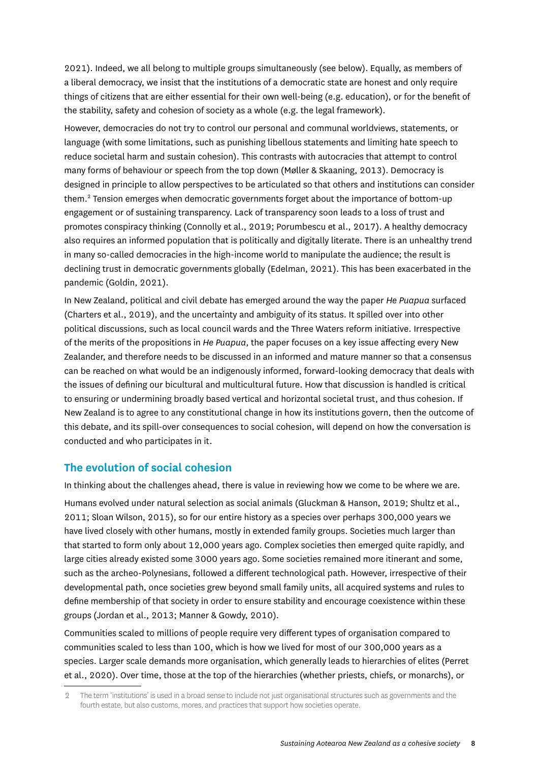<span id="page-9-0"></span>2021). Indeed, we all belong to multiple groups simultaneously (see below). Equally, as members of a liberal democracy, we insist that the institutions of a democratic state are honest and only require things of citizens that are either essential for their own well-being (e.g. education), or for the benefit of the stability, safety and cohesion of society as a whole (e.g. the legal framework).

However, democracies do not try to control our personal and communal worldviews, statements, or language (with some limitations, such as punishing libellous statements and limiting hate speech to reduce societal harm and sustain cohesion). This contrasts with autocracies that attempt to control many forms of behaviour or speech from the top down (Møller & Skaaning, 2013). Democracy is designed in principle to allow perspectives to be articulated so that others and institutions can consider them.<sup>2</sup> Tension emerges when democratic governments forget about the importance of bottom-up engagement or of sustaining transparency. Lack of transparency soon leads to a loss of trust and promotes conspiracy thinking (Connolly et al., 2019; Porumbescu et al., 2017). A healthy democracy also requires an informed population that is politically and digitally literate. There is an unhealthy trend in many so-called democracies in the high-income world to manipulate the audience; the result is declining trust in democratic governments globally (Edelman, 2021). This has been exacerbated in the pandemic (Goldin, 2021).

In New Zealand, political and civil debate has emerged around the way the paper *He Puapua* surfaced (Charters et al., 2019), and the uncertainty and ambiguity of its status. It spilled over into other political discussions, such as local council wards and the Three Waters reform initiative. Irrespective of the merits of the propositions in *He Puapua*, the paper focuses on a key issue affecting every New Zealander, and therefore needs to be discussed in an informed and mature manner so that a consensus can be reached on what would be an indigenously informed, forward-looking democracy that deals with the issues of defining our bicultural and multicultural future. How that discussion is handled is critical to ensuring or undermining broadly based vertical and horizontal societal trust, and thus cohesion. If New Zealand is to agree to any constitutional change in how its institutions govern, then the outcome of this debate, and its spill-over consequences to social cohesion, will depend on how the conversation is conducted and who participates in it.

#### **The evolution of social cohesion**

In thinking about the challenges ahead, there is value in reviewing how we come to be where we are. Humans evolved under natural selection as social animals (Gluckman & Hanson, 2019; Shultz et al., 2011; Sloan Wilson, 2015), so for our entire history as a species over perhaps 300,000 years we have lived closely with other humans, mostly in extended family groups. Societies much larger than that started to form only about 12,000 years ago. Complex societies then emerged quite rapidly, and large cities already existed some 3000 years ago. Some societies remained more itinerant and some, such as the archeo-Polynesians, followed a different technological path. However, irrespective of their developmental path, once societies grew beyond small family units, all acquired systems and rules to define membership of that society in order to ensure stability and encourage coexistence within these groups (Jordan et al., 2013; Manner & Gowdy, 2010).

Communities scaled to millions of people require very different types of organisation compared to communities scaled to less than 100, which is how we lived for most of our 300,000 years as a species. Larger scale demands more organisation, which generally leads to hierarchies of elites (Perret et al., 2020). Over time, those at the top of the hierarchies (whether priests, chiefs, or monarchs), or

<sup>2</sup> The term 'institutions' is used in a broad sense to include not just organisational structures such as governments and the fourth estate, but also customs, mores, and practices that support how societies operate.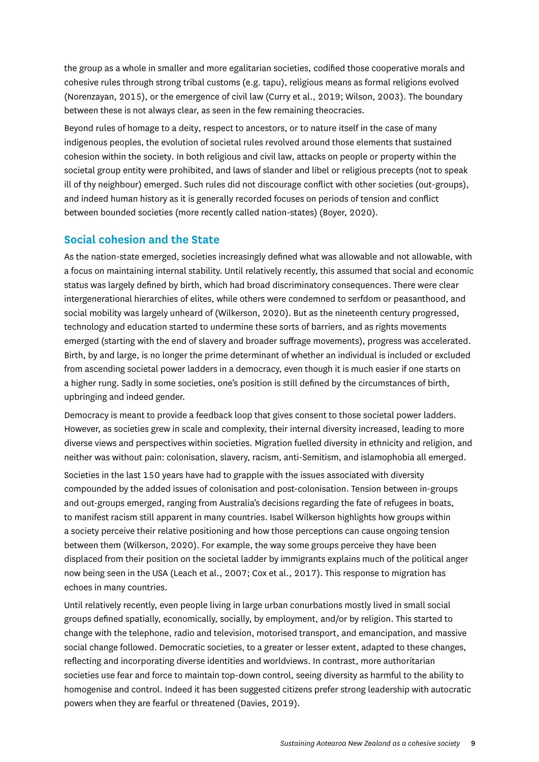<span id="page-10-0"></span>the group as a whole in smaller and more egalitarian societies, codified those cooperative morals and cohesive rules through strong tribal customs (e.g. tapu), religious means as formal religions evolved (Norenzayan, 2015), or the emergence of civil law (Curry et al., 2019; Wilson, 2003). The boundary between these is not always clear, as seen in the few remaining theocracies.

Beyond rules of homage to a deity, respect to ancestors, or to nature itself in the case of many indigenous peoples, the evolution of societal rules revolved around those elements that sustained cohesion within the society. In both religious and civil law, attacks on people or property within the societal group entity were prohibited, and laws of slander and libel or religious precepts (not to speak ill of thy neighbour) emerged. Such rules did not discourage conflict with other societies (out-groups), and indeed human history as it is generally recorded focuses on periods of tension and conflict between bounded societies (more recently called nation-states) (Boyer, 2020).

## **Social cohesion and the State**

As the nation-state emerged, societies increasingly defined what was allowable and not allowable, with a focus on maintaining internal stability. Until relatively recently, this assumed that social and economic status was largely defined by birth, which had broad discriminatory consequences. There were clear intergenerational hierarchies of elites, while others were condemned to serfdom or peasanthood, and social mobility was largely unheard of (Wilkerson, 2020). But as the nineteenth century progressed, technology and education started to undermine these sorts of barriers, and as rights movements emerged (starting with the end of slavery and broader suffrage movements), progress was accelerated. Birth, by and large, is no longer the prime determinant of whether an individual is included or excluded from ascending societal power ladders in a democracy, even though it is much easier if one starts on a higher rung. Sadly in some societies, one's position is still defined by the circumstances of birth, upbringing and indeed gender.

Democracy is meant to provide a feedback loop that gives consent to those societal power ladders. However, as societies grew in scale and complexity, their internal diversity increased, leading to more diverse views and perspectives within societies. Migration fuelled diversity in ethnicity and religion, and neither was without pain: colonisation, slavery, racism, anti-Semitism, and islamophobia all emerged.

Societies in the last 150 years have had to grapple with the issues associated with diversity compounded by the added issues of colonisation and post-colonisation. Tension between in-groups and out-groups emerged, ranging from Australia's decisions regarding the fate of refugees in boats, to manifest racism still apparent in many countries. Isabel Wilkerson highlights how groups within a society perceive their relative positioning and how those perceptions can cause ongoing tension between them (Wilkerson, 2020). For example, the way some groups perceive they have been displaced from their position on the societal ladder by immigrants explains much of the political anger now being seen in the USA (Leach et al., 2007; Cox et al., 2017). This response to migration has echoes in many countries.

Until relatively recently, even people living in large urban conurbations mostly lived in small social groups defined spatially, economically, socially, by employment, and/or by religion. This started to change with the telephone, radio and television, motorised transport, and emancipation, and massive social change followed. Democratic societies, to a greater or lesser extent, adapted to these changes, reflecting and incorporating diverse identities and worldviews. In contrast, more authoritarian societies use fear and force to maintain top-down control, seeing diversity as harmful to the ability to homogenise and control. Indeed it has been suggested citizens prefer strong leadership with autocratic powers when they are fearful or threatened (Davies, 2019).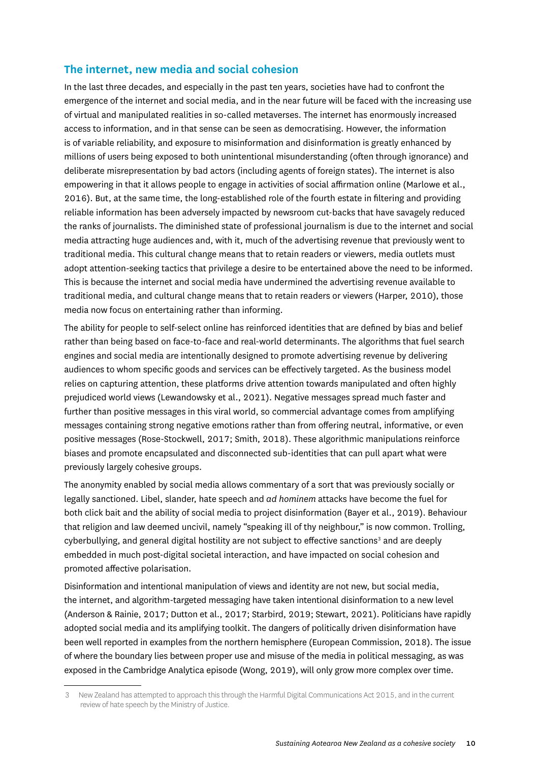## <span id="page-11-0"></span>**The internet, new media and social cohesion**

In the last three decades, and especially in the past ten years, societies have had to confront the emergence of the internet and social media, and in the near future will be faced with the increasing use of virtual and manipulated realities in so-called metaverses. The internet has enormously increased access to information, and in that sense can be seen as democratising. However, the information is of variable reliability, and exposure to misinformation and disinformation is greatly enhanced by millions of users being exposed to both unintentional misunderstanding (often through ignorance) and deliberate misrepresentation by bad actors (including agents of foreign states). The internet is also empowering in that it allows people to engage in activities of social affirmation online (Marlowe et al., 2016). But, at the same time, the long-established role of the fourth estate in filtering and providing reliable information has been adversely impacted by newsroom cut-backs that have savagely reduced the ranks of journalists. The diminished state of professional journalism is due to the internet and social media attracting huge audiences and, with it, much of the advertising revenue that previously went to traditional media. This cultural change means that to retain readers or viewers, media outlets must adopt attention-seeking tactics that privilege a desire to be entertained above the need to be informed. This is because the internet and social media have undermined the advertising revenue available to traditional media, and cultural change means that to retain readers or viewers (Harper, 2010), those media now focus on entertaining rather than informing.

The ability for people to self-select online has reinforced identities that are defined by bias and belief rather than being based on face-to-face and real-world determinants. The algorithms that fuel search engines and social media are intentionally designed to promote advertising revenue by delivering audiences to whom specific goods and services can be effectively targeted. As the business model relies on capturing attention, these platforms drive attention towards manipulated and often highly prejudiced world views (Lewandowsky et al., 2021). Negative messages spread much faster and further than positive messages in this viral world, so commercial advantage comes from amplifying messages containing strong negative emotions rather than from offering neutral, informative, or even positive messages (Rose-Stockwell, 2017; Smith, 2018). These algorithmic manipulations reinforce biases and promote encapsulated and disconnected sub-identities that can pull apart what were previously largely cohesive groups.

The anonymity enabled by social media allows commentary of a sort that was previously socially or legally sanctioned. Libel, slander, hate speech and *ad hominem* attacks have become the fuel for both click bait and the ability of social media to project disinformation (Bayer et al., 2019). Behaviour that religion and law deemed uncivil, namely "speaking ill of thy neighbour," is now common. Trolling, cyberbullying, and general digital hostility are not subject to effective sanctions<sup>3</sup> and are deeply embedded in much post-digital societal interaction, and have impacted on social cohesion and promoted affective polarisation.

Disinformation and intentional manipulation of views and identity are not new, but social media, the internet, and algorithm-targeted messaging have taken intentional disinformation to a new level (Anderson & Rainie, 2017; Dutton et al., 2017; Starbird, 2019; Stewart, 2021). Politicians have rapidly adopted social media and its amplifying toolkit. The dangers of politically driven disinformation have been well reported in examples from the northern hemisphere (European Commission, 2018). The issue of where the boundary lies between proper use and misuse of the media in political messaging, as was exposed in the Cambridge Analytica episode (Wong, 2019), will only grow more complex over time.

<sup>3</sup> New Zealand has attempted to approach this through the Harmful Digital Communications Act 2015, and in the current review of hate speech by the Ministry of Justice.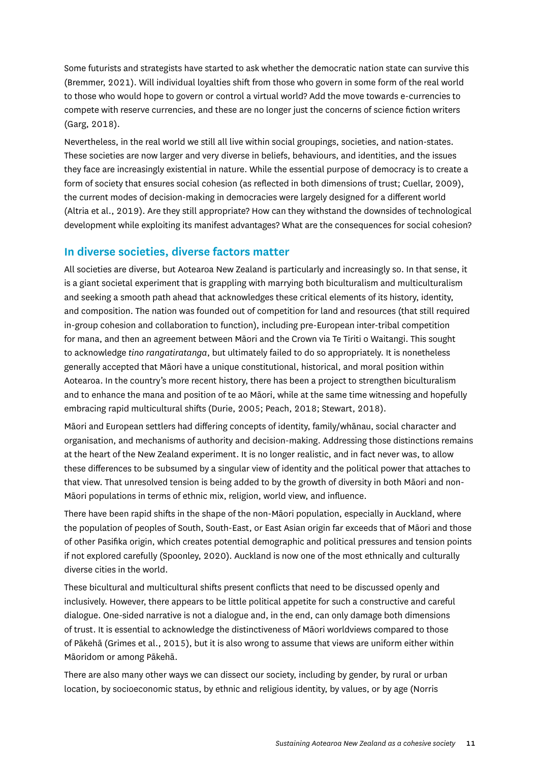<span id="page-12-0"></span>Some futurists and strategists have started to ask whether the democratic nation state can survive this (Bremmer, 2021). Will individual loyalties shift from those who govern in some form of the real world to those who would hope to govern or control a virtual world? Add the move towards e-currencies to compete with reserve currencies, and these are no longer just the concerns of science fiction writers (Garg, 2018).

Nevertheless, in the real world we still all live within social groupings, societies, and nation-states. These societies are now larger and very diverse in beliefs, behaviours, and identities, and the issues they face are increasingly existential in nature. While the essential purpose of democracy is to create a form of society that ensures social cohesion (as reflected in both dimensions of trust; Cuellar, 2009), the current modes of decision-making in democracies were largely designed for a different world (Altria et al., 2019). Are they still appropriate? How can they withstand the downsides of technological development while exploiting its manifest advantages? What are the consequences for social cohesion?

#### **In diverse societies, diverse factors matter**

All societies are diverse, but Aotearoa New Zealand is particularly and increasingly so. In that sense, it is a giant societal experiment that is grappling with marrying both biculturalism and multiculturalism and seeking a smooth path ahead that acknowledges these critical elements of its history, identity, and composition. The nation was founded out of competition for land and resources (that still required in-group cohesion and collaboration to function), including pre-European inter-tribal competition for mana, and then an agreement between Māori and the Crown via Te Tiriti o Waitangi. This sought to acknowledge *tino rangatiratanga*, but ultimately failed to do so appropriately. It is nonetheless generally accepted that Māori have a unique constitutional, historical, and moral position within Aotearoa. In the country's more recent history, there has been a project to strengthen biculturalism and to enhance the mana and position of te ao Māori, while at the same time witnessing and hopefully embracing rapid multicultural shifts (Durie, 2005; Peach, 2018; Stewart, 2018).

Māori and European settlers had differing concepts of identity, family/whānau, social character and organisation, and mechanisms of authority and decision-making. Addressing those distinctions remains at the heart of the New Zealand experiment. It is no longer realistic, and in fact never was, to allow these differences to be subsumed by a singular view of identity and the political power that attaches to that view. That unresolved tension is being added to by the growth of diversity in both Māori and non-Māori populations in terms of ethnic mix, religion, world view, and influence.

There have been rapid shifts in the shape of the non-Māori population, especially in Auckland, where the population of peoples of South, South-East, or East Asian origin far exceeds that of Māori and those of other Pasifika origin, which creates potential demographic and political pressures and tension points if not explored carefully (Spoonley, 2020). Auckland is now one of the most ethnically and culturally diverse cities in the world.

These bicultural and multicultural shifts present conflicts that need to be discussed openly and inclusively. However, there appears to be little political appetite for such a constructive and careful dialogue. One-sided narrative is not a dialogue and, in the end, can only damage both dimensions of trust. It is essential to acknowledge the distinctiveness of Māori worldviews compared to those of Pākehā (Grimes et al., 2015), but it is also wrong to assume that views are uniform either within Māoridom or among Pākehā.

There are also many other ways we can dissect our society, including by gender, by rural or urban location, by socioeconomic status, by ethnic and religious identity, by values, or by age (Norris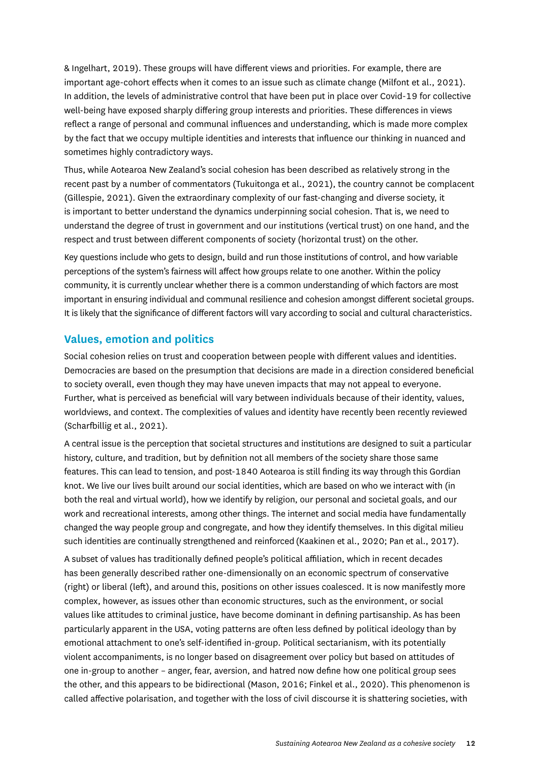<span id="page-13-0"></span>& Ingelhart, 2019). These groups will have different views and priorities. For example, there are important age-cohort effects when it comes to an issue such as climate change (Milfont et al., 2021). In addition, the levels of administrative control that have been put in place over Covid-19 for collective well-being have exposed sharply differing group interests and priorities. These differences in views reflect a range of personal and communal influences and understanding, which is made more complex by the fact that we occupy multiple identities and interests that influence our thinking in nuanced and sometimes highly contradictory ways.

Thus, while Aotearoa New Zealand's social cohesion has been described as relatively strong in the recent past by a number of commentators (Tukuitonga et al., 2021), the country cannot be complacent (Gillespie, 2021). Given the extraordinary complexity of our fast-changing and diverse society, it is important to better understand the dynamics underpinning social cohesion. That is, we need to understand the degree of trust in government and our institutions (vertical trust) on one hand, and the respect and trust between different components of society (horizontal trust) on the other.

Key questions include who gets to design, build and run those institutions of control, and how variable perceptions of the system's fairness will affect how groups relate to one another. Within the policy community, it is currently unclear whether there is a common understanding of which factors are most important in ensuring individual and communal resilience and cohesion amongst different societal groups. It is likely that the significance of different factors will vary according to social and cultural characteristics.

#### **Values, emotion and politics**

Social cohesion relies on trust and cooperation between people with different values and identities. Democracies are based on the presumption that decisions are made in a direction considered beneficial to society overall, even though they may have uneven impacts that may not appeal to everyone. Further, what is perceived as beneficial will vary between individuals because of their identity, values, worldviews, and context. The complexities of values and identity have recently been recently reviewed (Scharfbillig et al., 2021).

A central issue is the perception that societal structures and institutions are designed to suit a particular history, culture, and tradition, but by definition not all members of the society share those same features. This can lead to tension, and post-1840 Aotearoa is still finding its way through this Gordian knot. We live our lives built around our social identities, which are based on who we interact with (in both the real and virtual world), how we identify by religion, our personal and societal goals, and our work and recreational interests, among other things. The internet and social media have fundamentally changed the way people group and congregate, and how they identify themselves. In this digital milieu such identities are continually strengthened and reinforced (Kaakinen et al., 2020; Pan et al., 2017).

A subset of values has traditionally defined people's political affiliation, which in recent decades has been generally described rather one-dimensionally on an economic spectrum of conservative (right) or liberal (left), and around this, positions on other issues coalesced. It is now manifestly more complex, however, as issues other than economic structures, such as the environment, or social values like attitudes to criminal justice, have become dominant in defining partisanship. As has been particularly apparent in the USA, voting patterns are often less defined by political ideology than by emotional attachment to one's self-identified in-group. Political sectarianism, with its potentially violent accompaniments, is no longer based on disagreement over policy but based on attitudes of one in-group to another – anger, fear, aversion, and hatred now define how one political group sees the other, and this appears to be bidirectional (Mason, 2016; Finkel et al., 2020). This phenomenon is called affective polarisation, and together with the loss of civil discourse it is shattering societies, with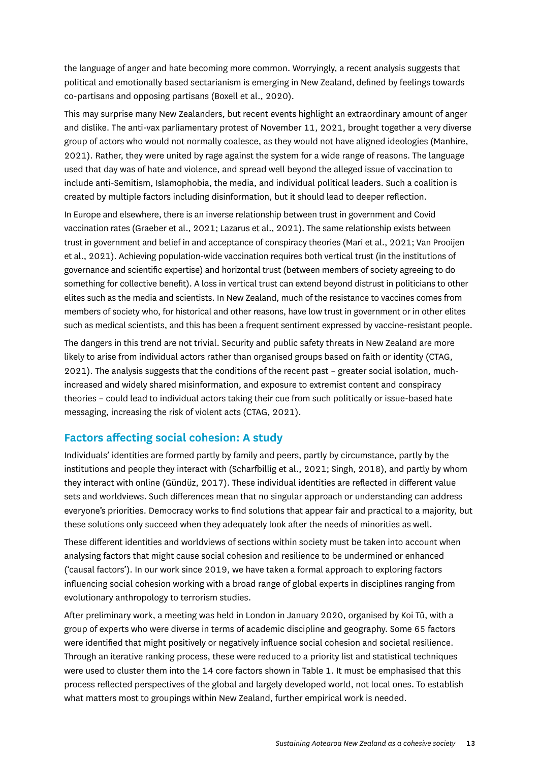<span id="page-14-0"></span>the language of anger and hate becoming more common. Worryingly, a recent analysis suggests that political and emotionally based sectarianism is emerging in New Zealand, defined by feelings towards co-partisans and opposing partisans (Boxell et al., 2020).

This may surprise many New Zealanders, but recent events highlight an extraordinary amount of anger and dislike. The anti-vax parliamentary protest of November 11, 2021, brought together a very diverse group of actors who would not normally coalesce, as they would not have aligned ideologies (Manhire, 2021). Rather, they were united by rage against the system for a wide range of reasons. The language used that day was of hate and violence, and spread well beyond the alleged issue of vaccination to include anti-Semitism, Islamophobia, the media, and individual political leaders. Such a coalition is created by multiple factors including disinformation, but it should lead to deeper reflection.

In Europe and elsewhere, there is an inverse relationship between trust in government and Covid vaccination rates (Graeber et al., 2021; Lazarus et al., 2021). The same relationship exists between trust in government and belief in and acceptance of conspiracy theories (Mari et al., 2021; Van Prooijen et al., 2021). Achieving population-wide vaccination requires both vertical trust (in the institutions of governance and scientific expertise) and horizontal trust (between members of society agreeing to do something for collective benefit). A loss in vertical trust can extend beyond distrust in politicians to other elites such as the media and scientists. In New Zealand, much of the resistance to vaccines comes from members of society who, for historical and other reasons, have low trust in government or in other elites such as medical scientists, and this has been a frequent sentiment expressed by vaccine-resistant people.

The dangers in this trend are not trivial. Security and public safety threats in New Zealand are more likely to arise from individual actors rather than organised groups based on faith or identity (CTAG, 2021). The analysis suggests that the conditions of the recent past – greater social isolation, muchincreased and widely shared misinformation, and exposure to extremist content and conspiracy theories – could lead to individual actors taking their cue from such politically or issue-based hate messaging, increasing the risk of violent acts (CTAG, 2021).

#### **Factors affecting social cohesion: A study**

Individuals' identities are formed partly by family and peers, partly by circumstance, partly by the institutions and people they interact with (Scharfbillig et al., 2021; Singh, 2018), and partly by whom they interact with online (Gündüz, 2017). These individual identities are reflected in different value sets and worldviews. Such differences mean that no singular approach or understanding can address everyone's priorities. Democracy works to find solutions that appear fair and practical to a majority, but these solutions only succeed when they adequately look after the needs of minorities as well.

These different identities and worldviews of sections within society must be taken into account when analysing factors that might cause social cohesion and resilience to be undermined or enhanced ('causal factors'). In our work since 2019, we have taken a formal approach to exploring factors influencing social cohesion working with a broad range of global experts in disciplines ranging from evolutionary anthropology to terrorism studies.

After preliminary work, a meeting was held in London in January 2020, organised by Koi Tū, with a group of experts who were diverse in terms of academic discipline and geography. Some 65 factors were identified that might positively or negatively influence social cohesion and societal resilience. Through an iterative ranking process, these were reduced to a priority list and statistical techniques were used to cluster them into the 14 core factors shown in Table 1. It must be emphasised that this process reflected perspectives of the global and largely developed world, not local ones. To establish what matters most to groupings within New Zealand, further empirical work is needed.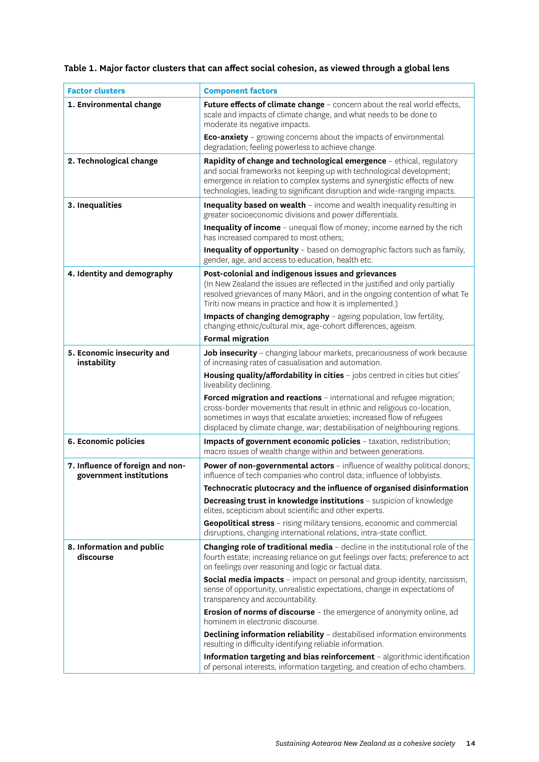| <b>Factor clusters</b>                                      | <b>Component factors</b>                                                                                                                                                                                                                                                                                |
|-------------------------------------------------------------|---------------------------------------------------------------------------------------------------------------------------------------------------------------------------------------------------------------------------------------------------------------------------------------------------------|
| 1. Environmental change                                     | Future effects of climate change - concern about the real world effects,<br>scale and impacts of climate change, and what needs to be done to<br>moderate its negative impacts.                                                                                                                         |
|                                                             | <b>Eco-anxiety</b> - growing concerns about the impacts of environmental<br>degradation; feeling powerless to achieve change.                                                                                                                                                                           |
| 2. Technological change                                     | Rapidity of change and technological emergence - ethical, regulatory<br>and social frameworks not keeping up with technological development;<br>emergence in relation to complex systems and synergistic effects of new<br>technologies, leading to significant disruption and wide-ranging impacts.    |
| 3. Inequalities                                             | Inequality based on wealth - income and wealth inequality resulting in<br>greater socioeconomic divisions and power differentials.                                                                                                                                                                      |
|                                                             | Inequality of income - unequal flow of money; income earned by the rich<br>has increased compared to most others;                                                                                                                                                                                       |
|                                                             | Inequality of opportunity - based on demographic factors such as family,<br>gender, age, and access to education, health etc.                                                                                                                                                                           |
| 4. Identity and demography                                  | Post-colonial and indigenous issues and grievances<br>(In New Zealand the issues are reflected in the justified and only partially                                                                                                                                                                      |
|                                                             | resolved grievances of many Māori, and in the ongoing contention of what Te<br>Tiriti now means in practice and how it is implemented.)                                                                                                                                                                 |
|                                                             | Impacts of changing demography - ageing population, low fertility,<br>changing ethnic/cultural mix, age-cohort differences, ageism.                                                                                                                                                                     |
|                                                             | <b>Formal migration</b>                                                                                                                                                                                                                                                                                 |
| 5. Economic insecurity and<br>instability                   | Job insecurity - changing labour markets, precariousness of work because<br>of increasing rates of casualisation and automation.                                                                                                                                                                        |
|                                                             | Housing quality/affordability in cities - jobs centred in cities but cities'<br>liveability declining.                                                                                                                                                                                                  |
|                                                             | Forced migration and reactions - international and refugee migration;<br>cross-border movements that result in ethnic and religious co-location,<br>sometimes in ways that escalate anxieties; increased flow of refugees<br>displaced by climate change, war; destabilisation of neighbouring regions. |
| 6. Economic policies                                        | Impacts of government economic policies - taxation, redistribution;<br>macro issues of wealth change within and between generations.                                                                                                                                                                    |
| 7. Influence of foreign and non-<br>government institutions | Power of non-governmental actors - influence of wealthy political donors;<br>influence of tech companies who control data; influence of lobbyists.                                                                                                                                                      |
|                                                             | Technocratic plutocracy and the influence of organised disinformation                                                                                                                                                                                                                                   |
|                                                             | Decreasing trust in knowledge institutions - suspicion of knowledge<br>elites, scepticism about scientific and other experts.                                                                                                                                                                           |
|                                                             | Geopolitical stress - rising military tensions, economic and commercial<br>disruptions, changing international relations, intra-state conflict.                                                                                                                                                         |
| 8. Information and public                                   | <b>Changing role of traditional media</b> - decline in the institutional role of the                                                                                                                                                                                                                    |
| discourse                                                   | fourth estate; increasing reliance on gut feelings over facts; preference to act<br>on feelings over reasoning and logic or factual data.                                                                                                                                                               |
|                                                             | Social media impacts - impact on personal and group identity, narcissism,<br>sense of opportunity, unrealistic expectations, change in expectations of<br>transparency and accountability.                                                                                                              |
|                                                             | Erosion of norms of discourse - the emergence of anonymity online, ad<br>hominem in electronic discourse.                                                                                                                                                                                               |
|                                                             | <b>Declining information reliability</b> - destabilised information environments<br>resulting in difficulty identifying reliable information.                                                                                                                                                           |
|                                                             | Information targeting and bias reinforcement - algorithmic identification<br>of personal interests, information targeting, and creation of echo chambers.                                                                                                                                               |

## **Table 1. Major factor clusters that can affect social cohesion, as viewed through a global lens**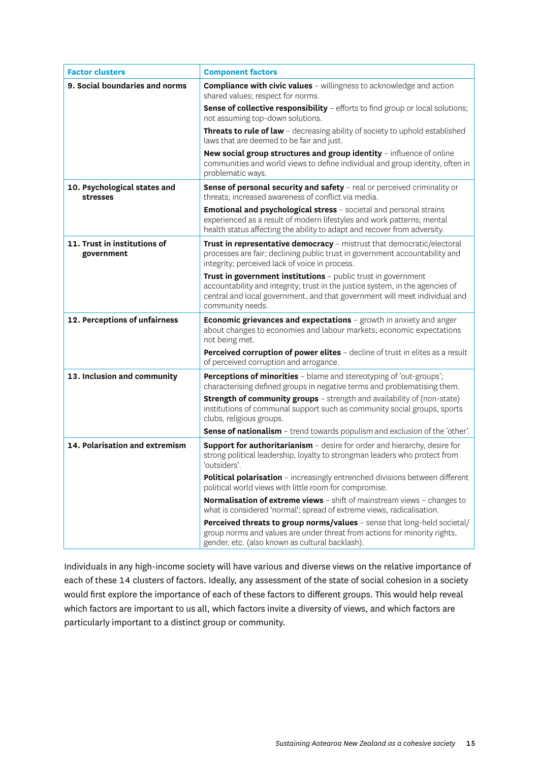| <b>Factor clusters</b>                          | <b>Component factors</b>                                                                                                                                                                                                                         |
|-------------------------------------------------|--------------------------------------------------------------------------------------------------------------------------------------------------------------------------------------------------------------------------------------------------|
| 9. Social boundaries and norms                  | <b>Compliance with civic values</b> - willingness to acknowledge and action<br>shared values; respect for norms.                                                                                                                                 |
|                                                 | Sense of collective responsibility - efforts to find group or local solutions;<br>not assuming top-down solutions.                                                                                                                               |
|                                                 | Threats to rule of law - decreasing ability of society to uphold established<br>laws that are deemed to be fair and just.                                                                                                                        |
|                                                 | New social group structures and group identity - influence of online<br>communities and world views to define individual and group identity, often in<br>problematic ways.                                                                       |
| 10. Psychological states and<br><b>stresses</b> | Sense of personal security and safety - real or perceived criminality or<br>threats; increased awareness of conflict via media.                                                                                                                  |
|                                                 | <b>Emotional and psychological stress</b> - societal and personal strains<br>experienced as a result of modern lifestyles and work patterns; mental<br>health status affecting the ability to adapt and recover from adversity.                  |
| 11. Trust in institutions of<br>government      | Trust in representative democracy - mistrust that democratic/electoral<br>processes are fair; declining public trust in government accountability and<br>integrity; perceived lack of voice in process.                                          |
|                                                 | Trust in government institutions - public trust in government<br>accountability and integrity; trust in the justice system, in the agencies of<br>central and local government, and that government will meet individual and<br>community needs. |
| 12. Perceptions of unfairness                   | Economic grievances and expectations - growth in anxiety and anger<br>about changes to economies and labour markets; economic expectations<br>not being met.                                                                                     |
|                                                 | Perceived corruption of power elites - decline of trust in elites as a result<br>of perceived corruption and arrogance.                                                                                                                          |
| 13. Inclusion and community                     | Perceptions of minorities - blame and stereotyping of 'out-groups';<br>characterising defined groups in negative terms and problematising them.                                                                                                  |
|                                                 | <b>Strength of community groups</b> - strength and availability of (non-state)<br>institutions of communal support such as community social groups, sports<br>clubs, religious groups.                                                           |
|                                                 | <b>Sense of nationalism</b> - trend towards populism and exclusion of the 'other'.                                                                                                                                                               |
| 14. Polarisation and extremism                  | <b>Support for authoritarianism</b> - desire for order and hierarchy, desire for<br>strong political leadership, loyalty to strongman leaders who protect from<br>'outsiders'.                                                                   |
|                                                 | Political polarisation - increasingly entrenched divisions between different<br>political world views with little room for compromise.                                                                                                           |
|                                                 | Normalisation of extreme views - shift of mainstream views - changes to<br>what is considered 'normal'; spread of extreme views, radicalisation.                                                                                                 |
|                                                 | Perceived threats to group norms/values - sense that long-held societal/<br>group norms and values are under threat from actions for minority rights,<br>gender, etc. (also known as cultural backlash).                                         |

Individuals in any high-income society will have various and diverse views on the relative importance of each of these 14 clusters of factors. Ideally, any assessment of the state of social cohesion in a society would first explore the importance of each of these factors to different groups. This would help reveal which factors are important to us all, which factors invite a diversity of views, and which factors are particularly important to a distinct group or community.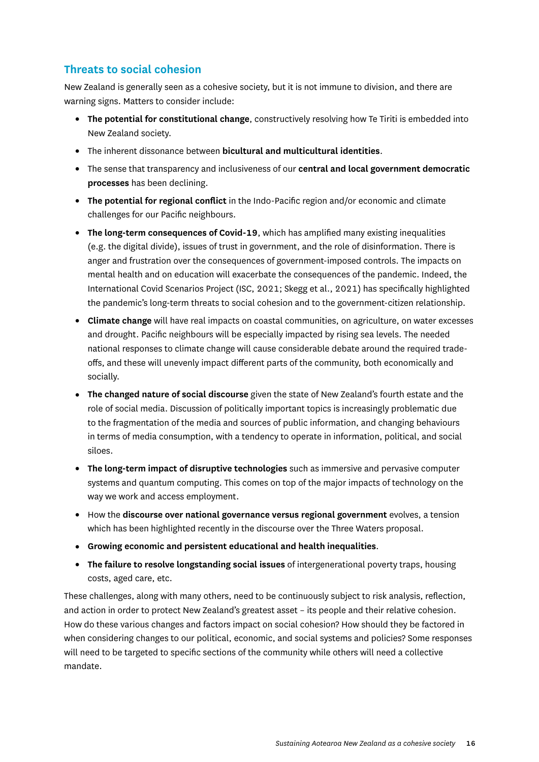## <span id="page-17-0"></span>**Threats to social cohesion**

New Zealand is generally seen as a cohesive society, but it is not immune to division, and there are warning signs. Matters to consider include:

- **The potential for constitutional change**, constructively resolving how Te Tiriti is embedded into New Zealand society.
- The inherent dissonance between **bicultural and multicultural identities**.
- The sense that transparency and inclusiveness of our **central and local government democratic processes** has been declining.
- **The potential for regional conflict** in the Indo-Pacific region and/or economic and climate challenges for our Pacific neighbours.
- **The long-term consequences of Covid-19**, which has amplified many existing inequalities (e.g. the digital divide), issues of trust in government, and the role of disinformation. There is anger and frustration over the consequences of government-imposed controls. The impacts on mental health and on education will exacerbate the consequences of the pandemic. Indeed, the International Covid Scenarios Project (ISC, 2021; Skegg et al., 2021) has specifically highlighted the pandemic's long-term threats to social cohesion and to the government-citizen relationship.
- **Climate change** will have real impacts on coastal communities, on agriculture, on water excesses and drought. Pacific neighbours will be especially impacted by rising sea levels. The needed national responses to climate change will cause considerable debate around the required tradeoffs, and these will unevenly impact different parts of the community, both economically and socially.
- **The changed nature of social discourse** given the state of New Zealand's fourth estate and the role of social media. Discussion of politically important topics is increasingly problematic due to the fragmentation of the media and sources of public information, and changing behaviours in terms of media consumption, with a tendency to operate in information, political, and social siloes.
- **The long-term impact of disruptive technologies** such as immersive and pervasive computer systems and quantum computing. This comes on top of the major impacts of technology on the way we work and access employment.
- How the **discourse over national governance versus regional government** evolves, a tension which has been highlighted recently in the discourse over the Three Waters proposal.
- **Growing economic and persistent educational and health inequalities**.
- **The failure to resolve longstanding social issues** of intergenerational poverty traps, housing costs, aged care, etc.

These challenges, along with many others, need to be continuously subject to risk analysis, reflection, and action in order to protect New Zealand's greatest asset – its people and their relative cohesion. How do these various changes and factors impact on social cohesion? How should they be factored in when considering changes to our political, economic, and social systems and policies? Some responses will need to be targeted to specific sections of the community while others will need a collective mandate.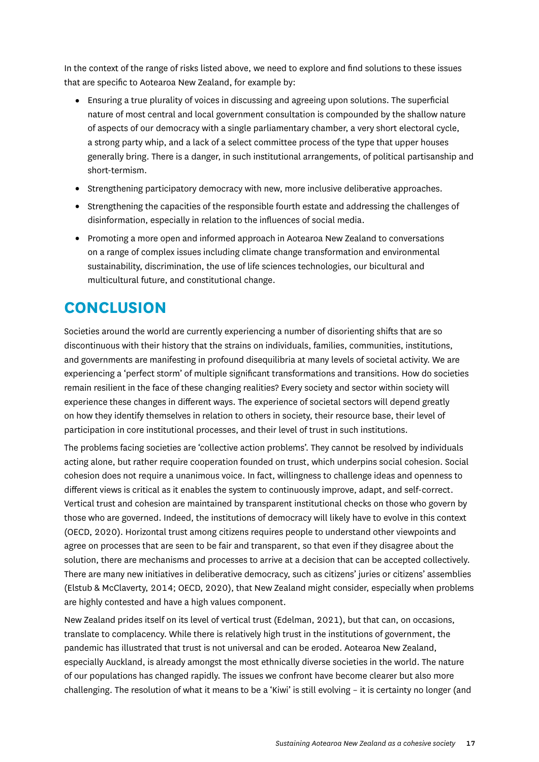<span id="page-18-0"></span>In the context of the range of risks listed above, we need to explore and find solutions to these issues that are specific to Aotearoa New Zealand, for example by:

- Ensuring a true plurality of voices in discussing and agreeing upon solutions. The superficial nature of most central and local government consultation is compounded by the shallow nature of aspects of our democracy with a single parliamentary chamber, a very short electoral cycle, a strong party whip, and a lack of a select committee process of the type that upper houses generally bring. There is a danger, in such institutional arrangements, of political partisanship and short-termism.
- Strengthening participatory democracy with new, more inclusive deliberative approaches.
- Strengthening the capacities of the responsible fourth estate and addressing the challenges of disinformation, especially in relation to the influences of social media.
- Promoting a more open and informed approach in Aotearoa New Zealand to conversations on a range of complex issues including climate change transformation and environmental sustainability, discrimination, the use of life sciences technologies, our bicultural and multicultural future, and constitutional change.

# **CONCLUSION**

Societies around the world are currently experiencing a number of disorienting shifts that are so discontinuous with their history that the strains on individuals, families, communities, institutions, and governments are manifesting in profound disequilibria at many levels of societal activity. We are experiencing a 'perfect storm' of multiple significant transformations and transitions. How do societies remain resilient in the face of these changing realities? Every society and sector within society will experience these changes in different ways. The experience of societal sectors will depend greatly on how they identify themselves in relation to others in society, their resource base, their level of participation in core institutional processes, and their level of trust in such institutions.

The problems facing societies are 'collective action problems'. They cannot be resolved by individuals acting alone, but rather require cooperation founded on trust, which underpins social cohesion. Social cohesion does not require a unanimous voice. In fact, willingness to challenge ideas and openness to different views is critical as it enables the system to continuously improve, adapt, and self-correct. Vertical trust and cohesion are maintained by transparent institutional checks on those who govern by those who are governed. Indeed, the institutions of democracy will likely have to evolve in this context (OECD, 2020). Horizontal trust among citizens requires people to understand other viewpoints and agree on processes that are seen to be fair and transparent, so that even if they disagree about the solution, there are mechanisms and processes to arrive at a decision that can be accepted collectively. There are many new initiatives in deliberative democracy, such as citizens' juries or citizens' assemblies (Elstub & McClaverty, 2014; OECD, 2020), that New Zealand might consider, especially when problems are highly contested and have a high values component.

New Zealand prides itself on its level of vertical trust (Edelman, 2021), but that can, on occasions, translate to complacency. While there is relatively high trust in the institutions of government, the pandemic has illustrated that trust is not universal and can be eroded. Aotearoa New Zealand, especially Auckland, is already amongst the most ethnically diverse societies in the world. The nature of our populations has changed rapidly. The issues we confront have become clearer but also more challenging. The resolution of what it means to be a 'Kiwi' is still evolving – it is certainty no longer (and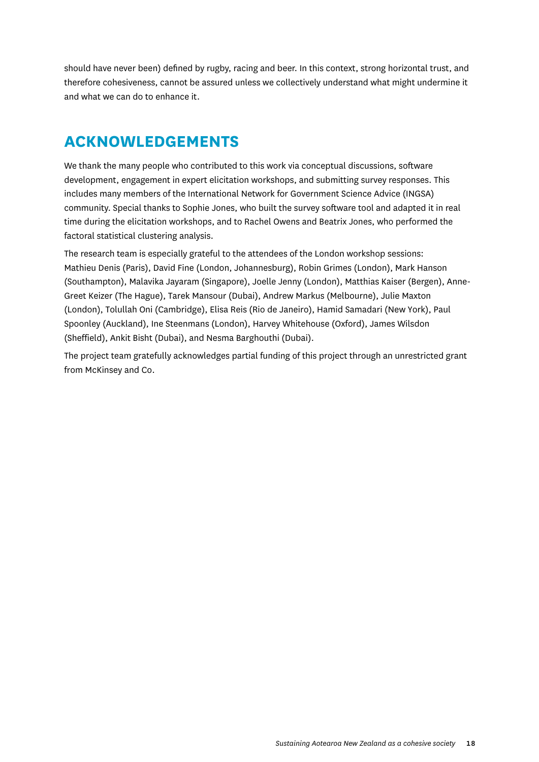<span id="page-19-0"></span>should have never been) defined by rugby, racing and beer. In this context, strong horizontal trust, and therefore cohesiveness, cannot be assured unless we collectively understand what might undermine it and what we can do to enhance it.

# **ACKNOWLEDGEMENTS**

We thank the many people who contributed to this work via conceptual discussions, software development, engagement in expert elicitation workshops, and submitting survey responses. This includes many members of the International Network for Government Science Advice (INGSA) community. Special thanks to Sophie Jones, who built the survey software tool and adapted it in real time during the elicitation workshops, and to Rachel Owens and Beatrix Jones, who performed the factoral statistical clustering analysis.

The research team is especially grateful to the attendees of the London workshop sessions: Mathieu Denis (Paris), David Fine (London, Johannesburg), Robin Grimes (London), Mark Hanson (Southampton), Malavika Jayaram (Singapore), Joelle Jenny (London), Matthias Kaiser (Bergen), Anne-Greet Keizer (The Hague), Tarek Mansour (Dubai), Andrew Markus (Melbourne), Julie Maxton (London), Tolullah Oni (Cambridge), Elisa Reis (Rio de Janeiro), Hamid Samadari (New York), Paul Spoonley (Auckland), Ine Steenmans (London), Harvey Whitehouse (Oxford), James Wilsdon (Sheffield), Ankit Bisht (Dubai), and Nesma Barghouthi (Dubai).

The project team gratefully acknowledges partial funding of this project through an unrestricted grant from McKinsey and Co.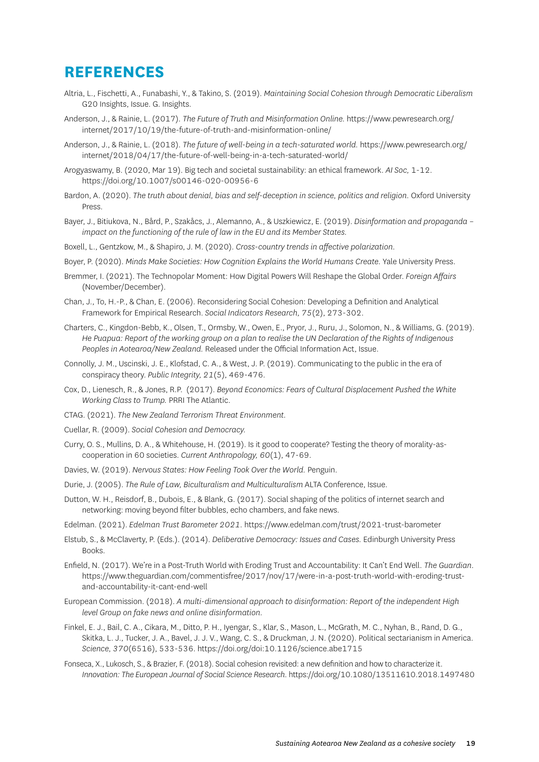# <span id="page-20-0"></span>**REFERENCES**

- Altria, L., Fischetti, A., Funabashi, Y., & Takino, S. (2019). *Maintaining Social Cohesion through Democratic Liberalism* G20 Insights, Issue. G. Insights.
- Anderson, J., & Rainie, L. (2017). *The Future of Truth and Misinformation Online.* [https://www.pewresearch.org/](https://www.pewresearch.org/internet/2017/10/19/the-future-of-truth-and-misinformation-online/) [internet/2017/10/19/the-future-of-truth-and-misinformation-online/](https://www.pewresearch.org/internet/2017/10/19/the-future-of-truth-and-misinformation-online/)
- Anderson, J., & Rainie, L. (2018). *The future of well-being in a tech-saturated world.* [https://www.pewresearch.org/](https://www.pewresearch.org/internet/2018/04/17/the-future-of-well-being-in-a-tech-saturated-world/) [internet/2018/04/17/the-future-of-well-being-in-a-tech-saturated-world/](https://www.pewresearch.org/internet/2018/04/17/the-future-of-well-being-in-a-tech-saturated-world/)
- Arogyaswamy, B. (2020, Mar 19). Big tech and societal sustainability: an ethical framework. *AI Soc,* 1-12. <https://doi.org/10.1007/s00146-020-00956-6>
- Bardon, A. (2020). *The truth about denial, bias and self-deception in science, politics and religion.* Oxford University Press.
- Bayer, J., Bitiukova, N., Bård, P., Szakåcs, J., Alemanno, A., & Uszkiewicz, E. (2019). *Disinformation and propaganda impact on the functioning of the rule of law in the EU and its Member States.*
- Boxell, L., Gentzkow, M., & Shapiro, J. M. (2020). *Cross-country trends in affective polarization.*
- Boyer, P. (2020). *Minds Make Societies: How Cognition Explains the World Humans Create.* Yale University Press.
- Bremmer, I. (2021). The Technopolar Moment: How Digital Powers Will Reshape the Global Order. *Foreign Affairs* (November/December).
- Chan, J., To, H.-P., & Chan, E. (2006). Reconsidering Social Cohesion: Developing a Definition and Analytical Framework for Empirical Research. *Social Indicators Research, 75*(2), 273-302.
- Charters, C., Kingdon-Bebb, K., Olsen, T., Ormsby, W., Owen, E., Pryor, J., Ruru, J., Solomon, N., & Williams, G. (2019). *He Puapua: Report of the working group on a plan to realise the UN Declaration of the Rights of Indigenous Peoples in Aotearoa/New Zealand.* Released under the Official Information Act, Issue.
- Connolly, J. M., Uscinski, J. E., Klofstad, C. A., & West, J. P. (2019). Communicating to the public in the era of conspiracy theory. *Public Integrity, 21*(5), 469-476.
- Cox, D., Lienesch, R., & Jones, R.P. (2017). *Beyond Economics: Fears of Cultural Displacement Pushed the White Working Class to Trump.* PRRI The Atlantic.
- CTAG. (2021). *The New Zealand Terrorism Threat Environment.*
- Cuellar, R. (2009). *Social Cohesion and Democracy.*
- Curry, O. S., Mullins, D. A., & Whitehouse, H. (2019). Is it good to cooperate? Testing the theory of morality-ascooperation in 60 societies. *Current Anthropology, 60*(1), 47-69.
- Davies, W. (2019). *Nervous States: How Feeling Took Over the World.* Penguin.
- Durie, J. (2005). *The Rule of Law, Biculturalism and Multiculturalism* ALTA Conference, Issue.
- Dutton, W. H., Reisdorf, B., Dubois, E., & Blank, G. (2017). Social shaping of the politics of internet search and networking: moving beyond filter bubbles, echo chambers, and fake news.
- Edelman. (2021). *Edelman Trust Barometer 2021.* <https://www.edelman.com/trust/2021-trust-barometer>
- Elstub, S., & McClaverty, P. (Eds.). (2014). *Deliberative Democracy: Issues and Cases.* Edinburgh University Press Books.
- Enfield, N. (2017). We're in a Post-Truth World with Eroding Trust and Accountability: It Can't End Well. *The Guardian.* [https://www.theguardian.com/commentisfree/2017/nov/17/were-in-a-post-truth-world-with-eroding-trust](https://www.theguardian.com/commentisfree/2017/nov/17/were-in-a-post-truth-world-with-eroding-trust-and-accountability-it-cant-end-well)[and-accountability-it-cant-end-well](https://www.theguardian.com/commentisfree/2017/nov/17/were-in-a-post-truth-world-with-eroding-trust-and-accountability-it-cant-end-well)
- European Commission. (2018). *A multi-dimensional approach to disinformation: Report of the independent High level Group on fake news and online disinformation.*
- Finkel, E. J., Bail, C. A., Cikara, M., Ditto, P. H., Iyengar, S., Klar, S., Mason, L., McGrath, M. C., Nyhan, B., Rand, D. G., Skitka, L. J., Tucker, J. A., Bavel, J. J. V., Wang, C. S., & Druckman, J. N. (2020). Political sectarianism in America. *Science, 370*(6516), 533-536.<https://doi.org/doi:10.1126/science.abe1715>
- Fonseca, X., Lukosch, S., & Brazier, F. (2018). Social cohesion revisited: a new definition and how to characterize it. *Innovation: The European Journal of Social Science Research.* <https://doi.org/10.1080/13511610.2018.1497480>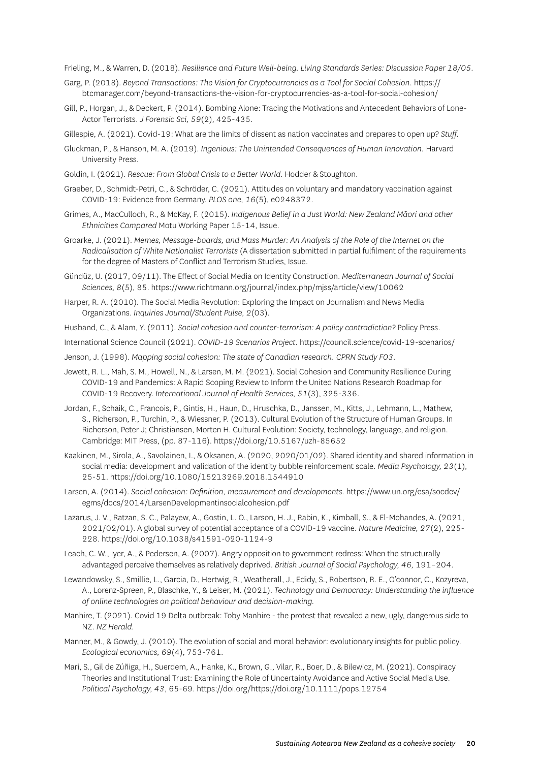Frieling, M., & Warren, D. (2018). *Resilience and Future Well-being. Living Standards Series: Discussion Paper 18/05.*

- Garg, P. (2018). *Beyond Transactions: The Vision for Cryptocurrencies as a Tool for Social Cohesion.* https:// btcmanager.com/beyond-transactions-the-vision-for-cryptocurrencies-as-a-tool-for-social-cohesion/
- Gill, P., Horgan, J., & Deckert, P. (2014). Bombing Alone: Tracing the Motivations and Antecedent Behaviors of Lone-Actor Terrorists. *J Forensic Sci, 59*(2), 425-435.
- Gillespie, A. (2021). Covid-19: What are the limits of dissent as nation vaccinates and prepares to open up? *Stuff.*
- Gluckman, P., & Hanson, M. A. (2019). *Ingenious: The Unintended Consequences of Human Innovation.* Harvard University Press.
- Goldin, I. (2021). *Rescue: From Global Crisis to a Better World.* Hodder & Stoughton.
- Graeber, D., Schmidt-Petri, C., & Schröder, C. (2021). Attitudes on voluntary and mandatory vaccination against COVID-19: Evidence from Germany. *PLOS one, 16*(5), e0248372.
- Grimes, A., MacCulloch, R., & McKay, F. (2015). *Indigenous Belief in a Just World: New Zealand Māori and other Ethnicities Compared* Motu Working Paper 15-14, Issue.
- Groarke, J. (2021). *Memes, Message-boards, and Mass Murder: An Analysis of the Role of the Internet on the Radicalisation of White Nationalist Terrorists* (A dissertation submitted in partial fulfilment of the requirements for the degree of Masters of Conflict and Terrorism Studies, Issue.
- Gündüz, U. (2017, 09/11). The Effect of Social Media on Identity Construction. *Mediterranean Journal of Social Sciences, 8*(5), 85.<https://www.richtmann.org/journal/index.php/mjss/article/view/10062>
- Harper, R. A. (2010). The Social Media Revolution: Exploring the Impact on Journalism and News Media Organizations. *Inquiries Journal/Student Pulse, 2*(03).
- Husband, C., & Alam, Y. (2011). *Social cohesion and counter-terrorism: A policy contradiction?* Policy Press.
- International Science Council (2021). *COVID-19 Scenarios Project.* https://council.science/covid-19-scenarios/
- Jenson, J. (1998). *Mapping social cohesion: The state of Canadian research. CPRN Study F03.*
- Jewett, R. L., Mah, S. M., Howell, N., & Larsen, M. M. (2021). Social Cohesion and Community Resilience During COVID-19 and Pandemics: A Rapid Scoping Review to Inform the United Nations Research Roadmap for COVID-19 Recovery. *International Journal of Health Services, 51*(3), 325-336.
- Jordan, F., Schaik, C., Francois, P., Gintis, H., Haun, D., Hruschka, D., Janssen, M., Kitts, J., Lehmann, L., Mathew, S., Richerson, P., Turchin, P., & Wiessner, P. (2013). Cultural Evolution of the Structure of Human Groups. In Richerson, Peter J; Christiansen, Morten H. Cultural Evolution: Society, technology, language, and religion. Cambridge: MIT Press, (pp. 87-116).<https://doi.org/10.5167/uzh-85652>
- Kaakinen, M., Sirola, A., Savolainen, I., & Oksanen, A. (2020, 2020/01/02). Shared identity and shared information in social media: development and validation of the identity bubble reinforcement scale. *Media Psychology, 23*(1), 25-51. <https://doi.org/10.1080/15213269.2018.1544910>
- Larsen, A. (2014). *Social cohesion: Definition, measurement and developments.* https://www.un.org/esa/socdev/ egms/docs/2014/LarsenDevelopmentinsocialcohesion.pdf
- Lazarus, J. V., Ratzan, S. C., Palayew, A., Gostin, L. O., Larson, H. J., Rabin, K., Kimball, S., & El-Mohandes, A. (2021, 2021/02/01). A global survey of potential acceptance of a COVID-19 vaccine. *Nature Medicine, 27*(2), 225- 228. https://doi.org/10.1038/s41591-020-1124-9
- Leach, C. W., Iyer, A., & Pedersen, A. (2007). Angry opposition to government redress: When the structurally advantaged perceive themselves as relatively deprived. *British Journal of Social Psychology, 46,* 191–204.
- Lewandowsky, S., Smillie, L., Garcia, D., Hertwig, R., Weatherall, J., Edidy, S., Robertson, R. E., O'connor, C., Kozyreva, A., Lorenz-Spreen, P., Blaschke, Y., & Leiser, M. (2021). *Technology and Democracy: Understanding the influence of online technologies on political behaviour and decision-making.*
- Manhire, T. (2021). Covid 19 Delta outbreak: Toby Manhire the protest that revealed a new, ugly, dangerous side to NZ. *NZ Herald.*
- Manner, M., & Gowdy, J. (2010). The evolution of social and moral behavior: evolutionary insights for public policy. *Ecological economics, 69*(4), 753-761.
- Mari, S., Gil de Zúñiga, H., Suerdem, A., Hanke, K., Brown, G., Vilar, R., Boer, D., & Bilewicz, M. (2021). Conspiracy Theories and Institutional Trust: Examining the Role of Uncertainty Avoidance and Active Social Media Use. *Political Psychology, 43*, 65-69.<https://doi.org/https://doi.org/10.1111/pops.12754>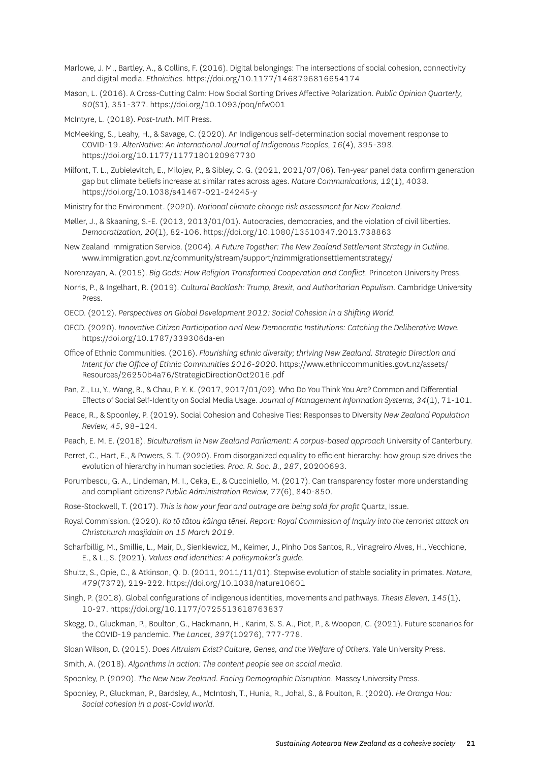Marlowe, J. M., Bartley, A., & Collins, F. (2016). Digital belongings: The intersections of social cohesion, connectivity and digital media. *Ethnicities.* <https://doi.org/10.1177/1468796816654174>

- Mason, L. (2016). A Cross-Cutting Calm: How Social Sorting Drives Affective Polarization. *Public Opinion Quarterly, 80*(S1), 351-377. <https://doi.org/10.1093/poq/nfw001>
- McIntyre, L. (2018). *Post-truth.* MIT Press.
- McMeeking, S., Leahy, H., & Savage, C. (2020). An Indigenous self-determination social movement response to COVID-19. *AlterNative: An International Journal of Indigenous Peoples, 16*(4), 395-398. <https://doi.org/10.1177/1177180120967730>
- Milfont, T. L., Zubielevitch, E., Milojev, P., & Sibley, C. G. (2021, 2021/07/06). Ten-year panel data confirm generation gap but climate beliefs increase at similar rates across ages. *Nature Communications, 12*(1), 4038. <https://doi.org/10.1038/s41467-021-24245-y>

Ministry for the Environment. (2020). *National climate change risk assessment for New Zealand.*

- Møller, J., & Skaaning, S.-E. (2013, 2013/01/01). Autocracies, democracies, and the violation of civil liberties. *Democratization, 20*(1), 82-106. <https://doi.org/10.1080/13510347.2013.738863>
- New Zealand Immigration Service. (2004). *A Future Together: The New Zealand Settlement Strategy in Outline.*  [www.immigration.govt.nz/community/stream/support/nzimmigrationsettlementstrategy/](http://www.immigration.govt.nz/community/stream/support/nzimmigrationsettlementstrategy/)

Norenzayan, A. (2015). *Big Gods: How Religion Transformed Cooperation and Conflict.* Princeton University Press.

- Norris, P., & Ingelhart, R. (2019). *Cultural Backlash: Trump, Brexit, and Authoritarian Populism.* Cambridge University Press.
- OECD. (2012). *Perspectives on Global Development 2012: Social Cohesion in a Shifting World.*
- OECD. (2020). *Innovative Citizen Participation and New Democratic Institutions: Catching the Deliberative Wave.*  <https://doi.org/10.1787/339306da-en>
- Office of Ethnic Communities. (2016). *Flourishing ethnic diversity; thriving New Zealand. Strategic Direction and Intent for the Office of Ethnic Communities 2016-2020.* [https://www.ethniccommunities.govt.nz/assets/](https://www.ethniccommunities.govt.nz/assets/Resources/26250b4a76/StrategicDirectionOct2016.pdf) [Resources/26250b4a76/StrategicDirectionOct2016.pdf](https://www.ethniccommunities.govt.nz/assets/Resources/26250b4a76/StrategicDirectionOct2016.pdf)
- Pan, Z., Lu, Y., Wang, B., & Chau, P. Y. K. (2017, 2017/01/02). Who Do You Think You Are? Common and Differential Effects of Social Self-Identity on Social Media Usage. *Journal of Management Information Systems, 34*(1), 71-101.
- Peace, R., & Spoonley, P. (2019). Social Cohesion and Cohesive Ties: Responses to Diversity *New Zealand Population Review, 45*, 98–124.
- Peach, E. M. E. (2018). *Biculturalism in New Zealand Parliament: A corpus-based approach* University of Canterbury.
- Perret, C., Hart, E., & Powers, S. T. (2020). From disorganized equality to efficient hierarchy: how group size drives the evolution of hierarchy in human societies. *Proc. R. Soc. B., 287*, 20200693.
- Porumbescu, G. A., Lindeman, M. I., Ceka, E., & Cucciniello, M. (2017). Can transparency foster more understanding and compliant citizens? *Public Administration Review, 77*(6), 840-850.
- Rose-Stockwell, T. (2017). *This is how your fear and outrage are being sold for profit* Quartz, Issue.
- Royal Commission. (2020). *Ko tō tātou kāinga tēnei. Report: Royal Commission of Inquiry into the terrorist attack on Christchurch masjidain on 15 March 2019.*
- Scharfbillig, M., Smillie, L., Mair, D., Sienkiewicz, M., Keimer, J., Pinho Dos Santos, R., Vinagreiro Alves, H., Vecchione, E., & L., S. (2021). *Values and identities: A policymaker's guide.*
- Shultz, S., Opie, C., & Atkinson, Q. D. (2011, 2011/11/01). Stepwise evolution of stable sociality in primates. *Nature, 479*(7372), 219-222.<https://doi.org/10.1038/nature10601>
- Singh, P. (2018). Global configurations of indigenous identities, movements and pathways. *Thesis Eleven, 145*(1), 10-27. <https://doi.org/10.1177/0725513618763837>
- Skegg, D., Gluckman, P., Boulton, G., Hackmann, H., Karim, S. S. A., Piot, P., & Woopen, C. (2021). Future scenarios for the COVID-19 pandemic. *The Lancet, 397*(10276), 777-778.
- Sloan Wilson, D. (2015). *Does Altruism Exist? Culture, Genes, and the Welfare of Others.* Yale University Press.
- Smith, A. (2018). *Algorithms in action: The content people see on social media.*
- Spoonley, P. (2020). *The New New Zealand. Facing Demographic Disruption.* Massey University Press.
- Spoonley, P., Gluckman, P., Bardsley, A., McIntosh, T., Hunia, R., Johal, S., & Poulton, R. (2020). *He Oranga Hou: Social cohesion in a post-Covid world.*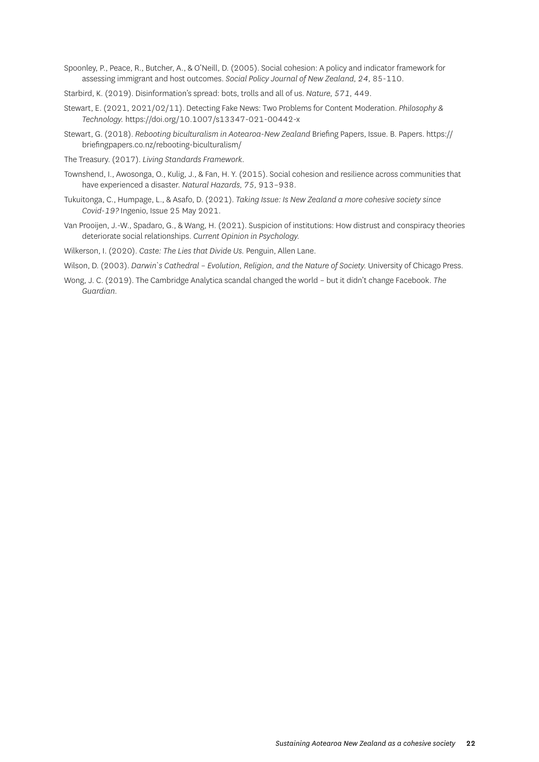- Spoonley, P., Peace, R., Butcher, A., & O'Neill, D. (2005). Social cohesion: A policy and indicator framework for assessing immigrant and host outcomes. *Social Policy Journal of New Zealand, 24,* 85-110.
- Starbird, K. (2019). Disinformation's spread: bots, trolls and all of us. *Nature, 571,* 449.
- Stewart, E. (2021, 2021/02/11). Detecting Fake News: Two Problems for Content Moderation. *Philosophy & Technology.* <https://doi.org/10.1007/s13347-021-00442-x>
- Stewart, G. (2018). *Rebooting biculturalism in Aotearoa-New Zealand* Briefing Papers, Issue. B. Papers. https:// briefingpapers.co.nz/rebooting-biculturalism/
- The Treasury. (2017). *Living Standards Framework.*
- Townshend, I., Awosonga, O., Kulig, J., & Fan, H. Y. (2015). Social cohesion and resilience across communities that have experienced a disaster. *Natural Hazards, 75,* 913–938.
- Tukuitonga, C., Humpage, L., & Asafo, D. (2021). *Taking Issue: Is New Zealand a more cohesive society since Covid-19?* Ingenio, Issue 25 May 2021.
- Van Prooijen, J.-W., Spadaro, G., & Wang, H. (2021). Suspicion of institutions: How distrust and conspiracy theories deteriorate social relationships. *Current Opinion in Psychology.*
- Wilkerson, I. (2020). *Caste: The Lies that Divide Us.* Penguin, Allen Lane.
- Wilson, D. (2003). *Darwin`s Cathedral Evolution, Religion, and the Nature of Society.* University of Chicago Press.
- Wong, J. C. (2019). The Cambridge Analytica scandal changed the world but it didn't change Facebook. *The Guardian.*